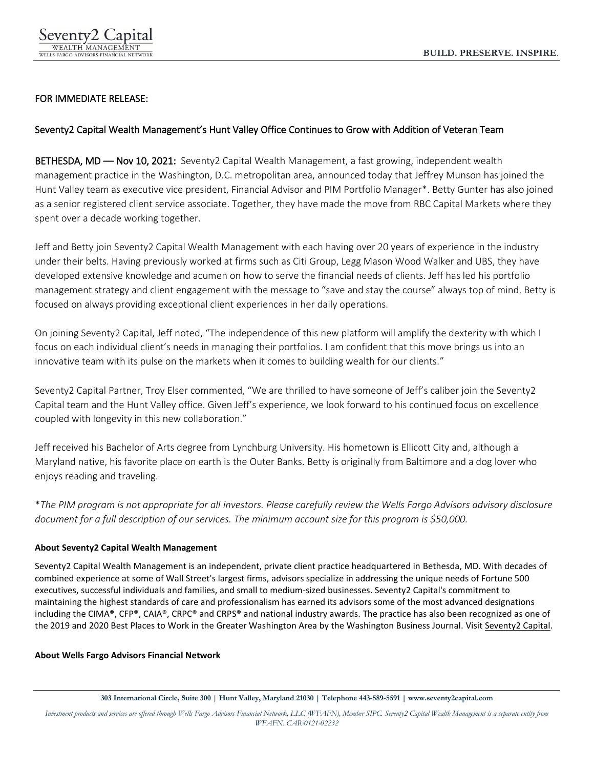## FOR IMMEDIATE RELEASE:

## Seventy2 Capital Wealth Management's Hunt Valley Office Continues to Grow with Addition of Veteran Team

BETHESDA, MD - Nov 10, 2021: Seventy2 Capital Wealth Management, a fast growing, independent wealth management practice in the Washington, D.C. metropolitan area, announced today that Jeffrey Munson has joined the Hunt Valley team as executive vice president, Financial Advisor and PIM Portfolio Manager\*. Betty Gunter has also joined as a senior registered client service associate. Together, they have made the move from RBC Capital Markets where they spent over a decade working together.

Jeff and Betty join Seventy2 Capital Wealth Management with each having over 20 years of experience in the industry under their belts. Having previously worked at firms such as Citi Group, Legg Mason Wood Walker and UBS, they have developed extensive knowledge and acumen on how to serve the financial needs of clients. Jeff has led his portfolio management strategy and client engagement with the message to "save and stay the course" always top of mind. Betty is focused on always providing exceptional client experiences in her daily operations.

On joining Seventy2 Capital, Jeff noted, "The independence of this new platform will amplify the dexterity with which I focus on each individual client's needs in managing their portfolios. I am confident that this move brings us into an innovative team with its pulse on the markets when it comes to building wealth for our clients."

Seventy2 Capital Partner, Troy Elser commented, "We are thrilled to have someone of Jeff's caliber join the Seventy2 Capital team and the Hunt Valley office. Given Jeff's experience, we look forward to his continued focus on excellence coupled with longevity in this new collaboration."

Jeff received his Bachelor of Arts degree from Lynchburg University. His hometown is Ellicott City and, although a Maryland native, his favorite place on earth is the Outer Banks. Betty is originally from Baltimore and a dog lover who enjoys reading and traveling.

\**The PIM program is not appropriate for all investors. Please carefully review the Wells Fargo Advisors advisory disclosure document for a full description of our services. The minimum account size for this program is \$50,000.*

## **About Seventy2 Capital Wealth Management**

Seventy2 Capital Wealth Management is an independent, private client practice headquartered in Bethesda, MD. With decades of combined experience at some of Wall Street's largest firms, advisors specialize in addressing the unique needs of Fortune 500 executives, successful individuals and families, and small to medium-sized businesses. Seventy2 Capital's commitment to maintaining the highest standards of care and professionalism has earned its advisors some of the most advanced designations including the CIMA®, CFP®, CAIA®, CRPC® and CRPS® and national industry awards. The practice has also been recognized as one of the 2019 and 2020 Best Places to Work in the Greater Washington Area by the Washington Business Journal. Visit [Seventy2 Capital.](http://www.seventycapital.com/)

## **About Wells Fargo Advisors Financial Network**

*Investment products and services are offered through Wells Fargo Advisors Financial Network, LLC (WFAFN), Member SIPC. Seventy2 Capital Wealth Management is a separate entity from WFAFN. CAR-0121-02232*